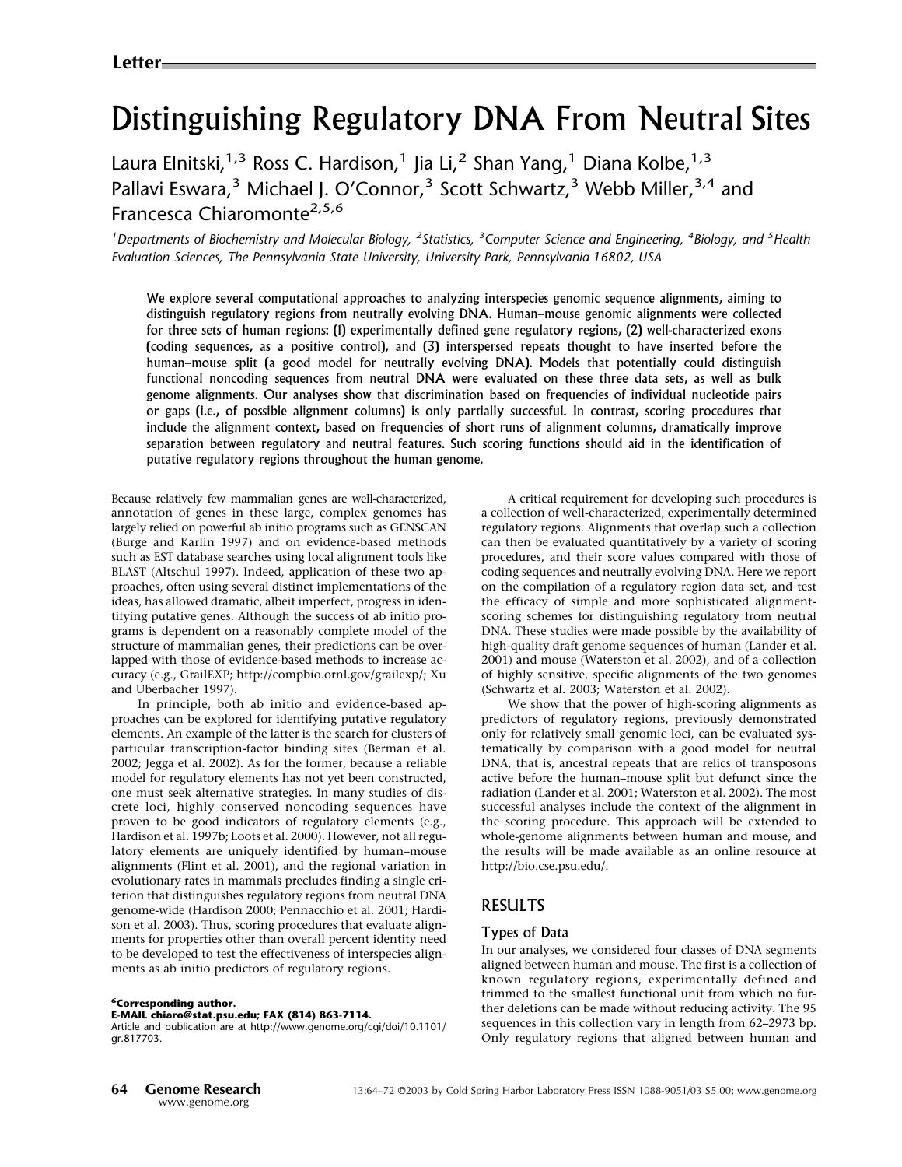# Distinguishing Regulatory DNA From Neutral Sites

Laura Elnitski,<sup>1,3</sup> Ross C. Hardison,<sup>1</sup> Jia Li,<sup>2</sup> Shan Yang,<sup>1</sup> Diana Kolbe,<sup>1,3</sup> Pallavi Eswara,<sup>3</sup> Michael J. O'Connor,<sup>3</sup> Scott Schwartz,<sup>3</sup> Webb Miller,<sup>3,4</sup> and Francesca Chiaromonte<sup>2,5,6</sup>

<sup>1</sup> Departments of Biochemistry and Molecular Biology, <sup>2</sup> Statistics, <sup>3</sup> Computer Science and Engineering, <sup>4</sup> Biology, and <sup>5</sup> Health Evaluation Sciences, The Pennsylvania State University, University Park, Pennsylvania 16802, USA

We explore several computational approaches to analyzing interspecies genomic sequence alignments, aiming to distinguish regulatory regions from neutrally evolving DNA. Human–mouse genomic alignments were collected for three sets of human regions: (1) experimentally defined gene regulatory regions, (2) well-characterized exons (coding sequences, as a positive control), and (3) interspersed repeats thought to have inserted before the human–mouse split (a good model for neutrally evolving DNA). Models that potentially could distinguish functional noncoding sequences from neutral DNA were evaluated on these three data sets, as well as bulk genome alignments. Our analyses show that discrimination based on frequencies of individual nucleotide pairs or gaps (i.e., of possible alignment columns) is only partially successful. In contrast, scoring procedures that include the alignment context, based on frequencies of short runs of alignment columns, dramatically improve separation between regulatory and neutral features. Such scoring functions should aid in the identification of putative regulatory regions throughout the human genome.

Because relatively few mammalian genes are well-characterized, annotation of genes in these large, complex genomes has largely relied on powerful ab initio programs such as GENSCAN (Burge and Karlin 1997) and on evidence-based methods such as EST database searches using local alignment tools like BLAST (Altschul 1997). Indeed, application of these two approaches, often using several distinct implementations of the ideas, has allowed dramatic, albeit imperfect, progress in identifying putative genes. Although the success of ab initio programs is dependent on a reasonably complete model of the structure of mammalian genes, their predictions can be overlapped with those of evidence-based methods to increase accuracy (e.g., GrailEXP; http://compbio.ornl.gov/grailexp/; Xu and Uberbacher 1997).

In principle, both ab initio and evidence-based approaches can be explored for identifying putative regulatory elements. An example of the latter is the search for clusters of particular transcription-factor binding sites (Berman et al. 2002; Jegga et al. 2002). As for the former, because a reliable model for regulatory elements has not yet been constructed, one must seek alternative strategies. In many studies of discrete loci, highly conserved noncoding sequences have proven to be good indicators of regulatory elements (e.g., Hardison et al. 1997b; Loots et al. 2000). However, not all regulatory elements are uniquely identified by human–mouse alignments (Flint et al. 2001), and the regional variation in evolutionary rates in mammals precludes finding a single criterion that distinguishes regulatory regions from neutral DNA genome-wide (Hardison 2000; Pennacchio et al. 2001; Hardison et al. 2003). Thus, scoring procedures that evaluate alignments for properties other than overall percent identity need to be developed to test the effectiveness of interspecies alignments as ab initio predictors of regulatory regions.

<sup>6</sup>Corresponding author.

#### E-MAIL chiaro@stat.psu.edu; FAX (814) 863-7114.

Article and publication are at http://www.genome.org/cgi/doi/10.1101/ gr.817703.

Acritical requirement for developing such procedures is a collection of well-characterized, experimentally determined regulatory regions. Alignments that overlap such a collection can then be evaluated quantitatively by a variety of scoring procedures, and their score values compared with those of coding sequences and neutrally evolving DNA. Here we report on the compilation of a regulatory region data set, and test the efficacy of simple and more sophisticated alignmentscoring schemes for distinguishing regulatory from neutral DNA. These studies were made possible by the availability of high-quality draft genome sequences of human (Lander et al. 2001) and mouse (Waterston et al. 2002), and of a collection of highly sensitive, specific alignments of the two genomes (Schwartz et al. 2003; Waterston et al. 2002).

We show that the power of high-scoring alignments as predictors of regulatory regions, previously demonstrated only for relatively small genomic loci, can be evaluated systematically by comparison with a good model for neutral DNA, that is, ancestral repeats that are relics of transposons active before the human–mouse split but defunct since the radiation (Lander et al. 2001; Waterston et al. 2002). The most successful analyses include the context of the alignment in the scoring procedure. This approach will be extended to whole-genome alignments between human and mouse, and the results will be made available as an online resource at http://bio.cse.psu.edu/.

# RESULTS

#### Types of Data

In our analyses, we considered four classes of DNA segments aligned between human and mouse. The first is a collection of known regulatory regions, experimentally defined and trimmed to the smallest functional unit from which no further deletions can be made without reducing activity. The 95 sequences in this collection vary in length from 62–2973 bp. Only regulatory regions that aligned between human and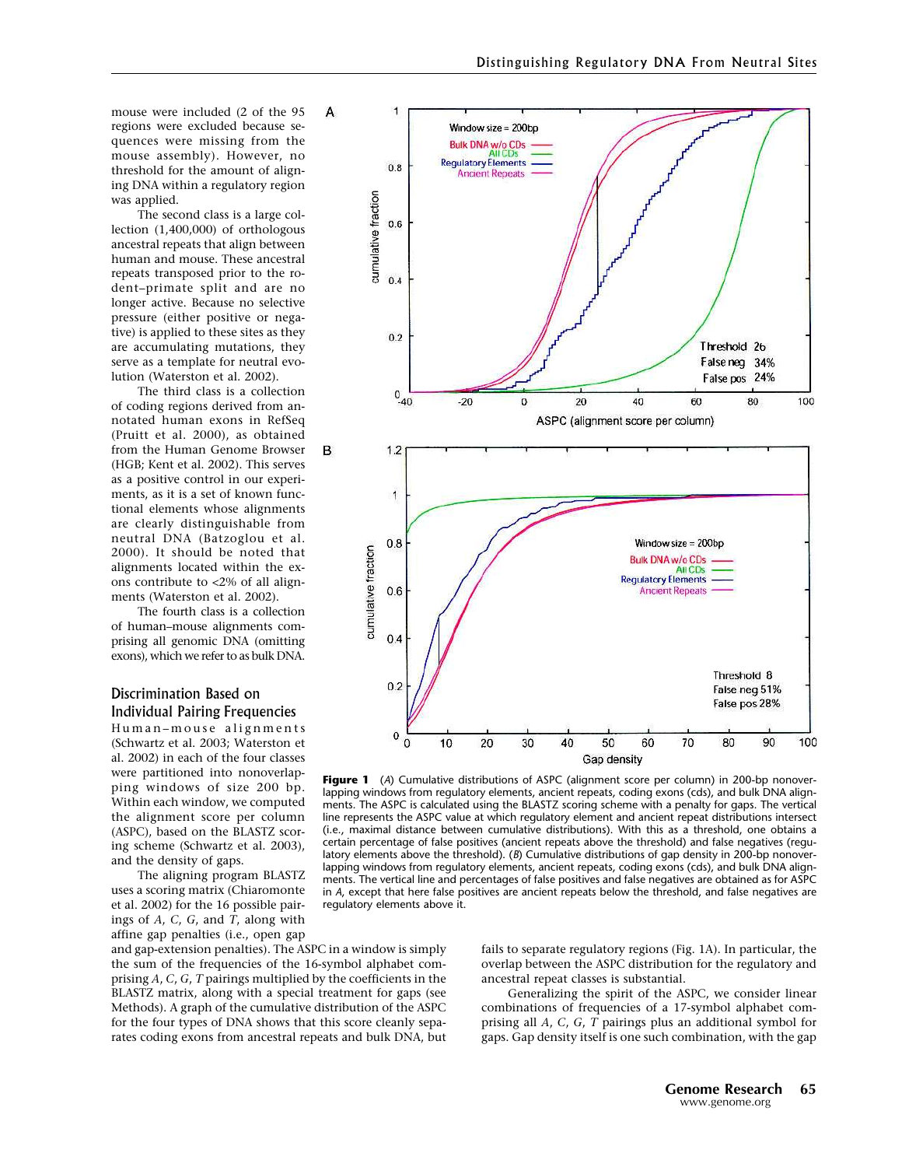mouse were included (2 of the 95 regions were excluded because sequences were missing from the mouse assembly). However, no threshold for the amount of aligning DNAwithin a regulatory region was applied.

The second class is a large collection (1,400,000) of orthologous ancestral repeats that align between human and mouse. These ancestral repeats transposed prior to the rodent–primate split and are no longer active. Because no selective pressure (either positive or negative) is applied to these sites as they are accumulating mutations, they serve as a template for neutral evolution (Waterston et al. 2002).

The third class is a collection of coding regions derived from annotated human exons in RefSeq (Pruitt et al. 2000), as obtained from the Human Genome Browser (HGB; Kent et al. 2002). This serves as a positive control in our experiments, as it is a set of known functional elements whose alignments are clearly distinguishable from neutral DNA(Batzoglou et al. 2000). It should be noted that alignments located within the exons contribute to <2% of all alignments (Waterston et al. 2002).

The fourth class is a collection of human–mouse alignments comprising all genomic DNA (omitting exons), which we refer to as bulk DNA.

## Discrimination Based on Individual Pairing Frequencies

Human–mouse alignments (Schwartz et al. 2003; Waterston et al. 2002) in each of the four classes were partitioned into nonoverlapping windows of size 200 bp. Within each window, we computed the alignment score per column (ASPC), based on the BLASTZ scoring scheme (Schwartz et al. 2003), and the density of gaps.

The aligning program BLASTZ uses a scoring matrix (Chiaromonte et al. 2002) for the 16 possible pairings of  $A$ ,  $C$ ,  $G$ , and  $T$ , along with affine gap penalties (i.e., open gap

and gap-extension penalties). The ASPC in a window is simply the sum of the frequencies of the 16-symbol alphabet comprising A, C, G, T pairings multiplied by the coefficients in the BLASTZ matrix, along with a special treatment for gaps (see Methods). A graph of the cumulative distribution of the ASPC for the four types of DNA shows that this score cleanly separates coding exons from ancestral repeats and bulk DNA, but



Figure 1 (A) Cumulative distributions of ASPC (alignment score per column) in 200-bp nonoverlapping windows from regulatory elements, ancient repeats, coding exons (cds), and bulk DNA alignments. The ASPC is calculated using the BLASTZ scoring scheme with a penalty for gaps. The vertical line represents the ASPC value at which regulatory element and ancient repeat distributions intersect (i.e., maximal distance between cumulative distributions). With this as a threshold, one obtains a certain percentage of false positives (ancient repeats above the threshold) and false negatives (regulatory elements above the threshold). (B) Cumulative distributions of gap density in 200-bp nonoverlapping windows from regulatory elements, ancient repeats, coding exons (cds), and bulk DNA alignments. The vertical line and percentages of false positives and false negatives are obtained as for ASPC in A, except that here false positives are ancient repeats below the threshold, and false negatives are regulatory elements above it.

fails to separate regulatory regions (Fig. 1A). In particular, the overlap between the ASPC distribution for the regulatory and ancestral repeat classes is substantial.

Generalizing the spirit of the ASPC, we consider linear combinations of frequencies of a 17-symbol alphabet comprising all A, C, G, T pairings plus an additional symbol for gaps. Gap density itself is one such combination, with the gap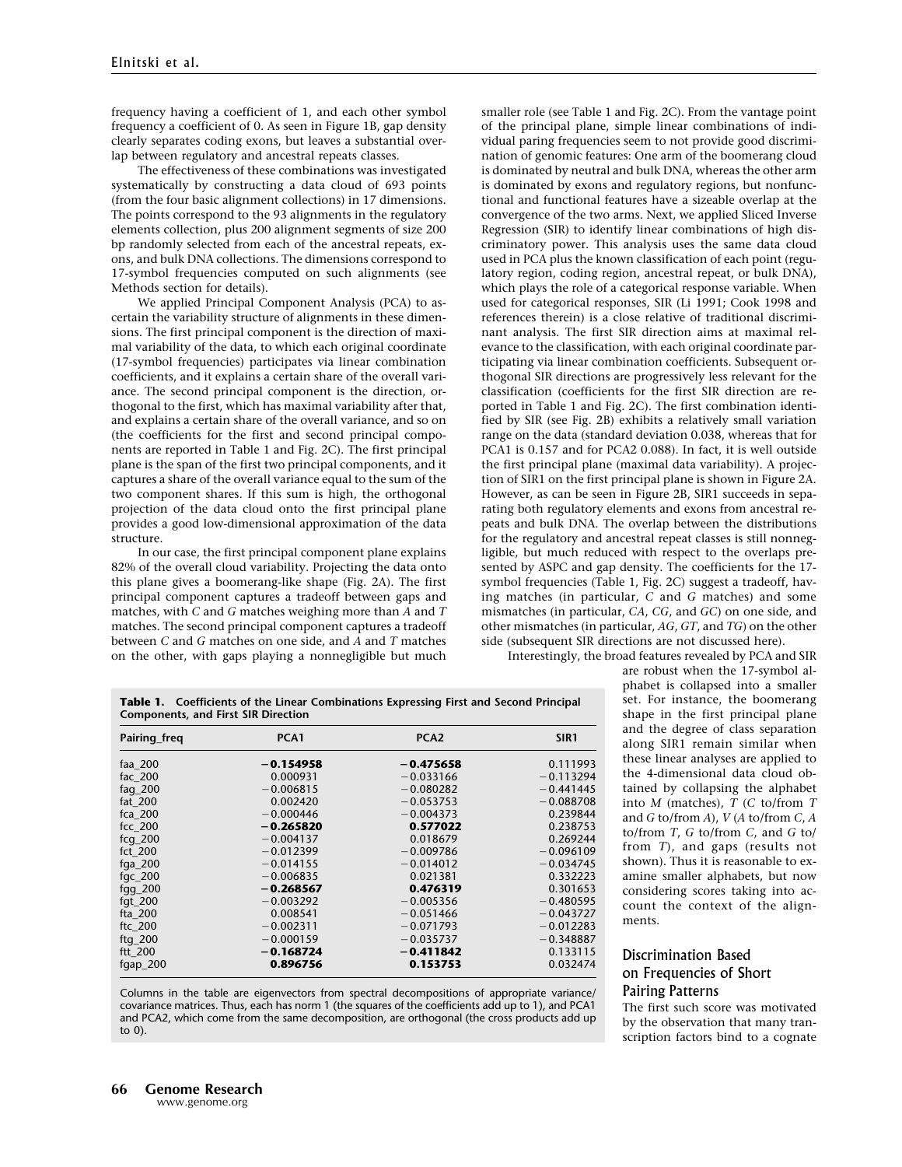frequency having a coefficient of 1, and each other symbol frequency a coefficient of 0. As seen in Figure 1B, gap density clearly separates coding exons, but leaves a substantial overlap between regulatory and ancestral repeats classes.

The effectiveness of these combinations was investigated systematically by constructing a data cloud of 693 points (from the four basic alignment collections) in 17 dimensions. The points correspond to the 93 alignments in the regulatory elements collection, plus 200 alignment segments of size 200 bp randomly selected from each of the ancestral repeats, exons, and bulk DNA collections. The dimensions correspond to 17-symbol frequencies computed on such alignments (see Methods section for details).

We applied Principal Component Analysis (PCA) to ascertain the variability structure of alignments in these dimensions. The first principal component is the direction of maximal variability of the data, to which each original coordinate (17-symbol frequencies) participates via linear combination coefficients, and it explains a certain share of the overall variance. The second principal component is the direction, orthogonal to the first, which has maximal variability after that, and explains a certain share of the overall variance, and so on (the coefficients for the first and second principal components are reported in Table 1 and Fig. 2C). The first principal plane is the span of the first two principal components, and it captures a share of the overall variance equal to the sum of the two component shares. If this sum is high, the orthogonal projection of the data cloud onto the first principal plane provides a good low-dimensional approximation of the data structure.

In our case, the first principal component plane explains 82% of the overall cloud variability. Projecting the data onto this plane gives a boomerang-like shape (Fig. 2A). The first principal component captures a tradeoff between gaps and matches, with  $C$  and  $G$  matches weighing more than  $A$  and  $T$ matches. The second principal component captures a tradeoff between  $C$  and  $G$  matches on one side, and  $A$  and  $T$  matches on the other, with gaps playing a nonnegligible but much smaller role (see Table 1 and Fig. 2C). From the vantage point of the principal plane, simple linear combinations of individual paring frequencies seem to not provide good discrimination of genomic features: One arm of the boomerang cloud is dominated by neutral and bulk DNA, whereas the other arm is dominated by exons and regulatory regions, but nonfunctional and functional features have a sizeable overlap at the convergence of the two arms. Next, we applied Sliced Inverse Regression (SIR) to identify linear combinations of high discriminatory power. This analysis uses the same data cloud used in PCA plus the known classification of each point (regulatory region, coding region, ancestral repeat, or bulk DNA), which plays the role of a categorical response variable. When used for categorical responses, SIR (Li 1991; Cook 1998 and references therein) is a close relative of traditional discriminant analysis. The first SIR direction aims at maximal relevance to the classification, with each original coordinate participating via linear combination coefficients. Subsequent orthogonal SIR directions are progressively less relevant for the classification (coefficients for the first SIR direction are reported in Table 1 and Fig. 2C). The first combination identified by SIR (see Fig. 2B) exhibits a relatively small variation range on the data (standard deviation 0.038, whereas that for PCA1 is 0.157 and for PCA2 0.088). In fact, it is well outside the first principal plane (maximal data variability). A projection of SIR1 on the first principal plane is shown in Figure 2A. However, as can be seen in Figure 2B, SIR1 succeeds in separating both regulatory elements and exons from ancestral repeats and bulk DNA. The overlap between the distributions for the regulatory and ancestral repeat classes is still nonnegligible, but much reduced with respect to the overlaps presented by ASPC and gap density. The coefficients for the 17 symbol frequencies (Table 1, Fig. 2C) suggest a tradeoff, having matches (in particular, C and G matches) and some mismatches (in particular, CA, CG, and GC) on one side, and other mismatches (in particular, AG, GT, and TG) on the other side (subsequent SIR directions are not discussed here).

Interestingly, the broad features revealed by PCA and SIR

|              | <b>Table 1.</b> Coefficients of the Linear Combinations Expressing First and Second Principal<br>Components, and First SIR Direction |                  |      |
|--------------|--------------------------------------------------------------------------------------------------------------------------------------|------------------|------|
| Pairing freg | PCA <sub>1</sub>                                                                                                                     | PCA <sub>2</sub> | SIR1 |

| Pairing_freq | PCA <sub>1</sub> | PCA2        | SIR <sub>1</sub> |
|--------------|------------------|-------------|------------------|
| faa 200      | $-0.154958$      | $-0.475658$ | 0.111993         |
| fac $200$    | 0.000931         | $-0.033166$ | $-0.113294$      |
| fag_200      | $-0.006815$      | $-0.080282$ | $-0.441445$      |
| fat 200      | 0.002420         | $-0.053753$ | $-0.088708$      |
| fca 200      | $-0.000446$      | $-0.004373$ | 0.239844         |
| fcc 200      | $-0.265820$      | 0.577022    | 0.238753         |
| $fcq$ 200    | $-0.004137$      | 0.018679    | 0.269244         |
| fct 200      | $-0.012399$      | $-0.009786$ | $-0.096109$      |
| fga $200$    | $-0.014155$      | $-0.014012$ | $-0.034745$      |
| fgc $200$    | $-0.006835$      | 0.021381    | 0.332223         |
| fgg $200$    | $-0.268567$      | 0.476319    | 0.301653         |
| fgt $200$    | $-0.003292$      | $-0.005356$ | $-0.480595$      |
| fta 200      | 0.008541         | $-0.051466$ | $-0.043727$      |
| ftc $200$    | $-0.002311$      | $-0.071793$ | $-0.012283$      |
| ftg $200$    | $-0.000159$      | $-0.035737$ | $-0.348887$      |
| ftt $200$    | $-0.168724$      | $-0.411842$ | 0.133115         |
| fgap_200     | 0.896756         | 0.153753    | 0.032474         |

Columns in the table are eigenvectors from spectral decompositions of appropriate variance/ covariance matrices. Thus, each has norm 1 (the squares of the coefficients add up to 1), and PCA1 and PCA2, which come from the same decomposition, are orthogonal (the cross products add up to 0).

are robust when the 17-symbol alphabet is collapsed into a smaller set. For instance, the boomerang shape in the first principal plane and the degree of class separation along SIR1 remain similar when these linear analyses are applied to the 4-dimensional data cloud obtained by collapsing the alphabet into M (matches), T (C to/from T and G to/from A), V (A to/from C, A to/from  $T$ ,  $G$  to/from  $C$ , and  $G$  to/ from T), and gaps (results not shown). Thus it is reasonable to examine smaller alphabets, but now considering scores taking into account the context of the alignments.

# Discrimination Based on Frequencies of Short Pairing Patterns

The first such score was motivated by the observation that many transcription factors bind to a cognate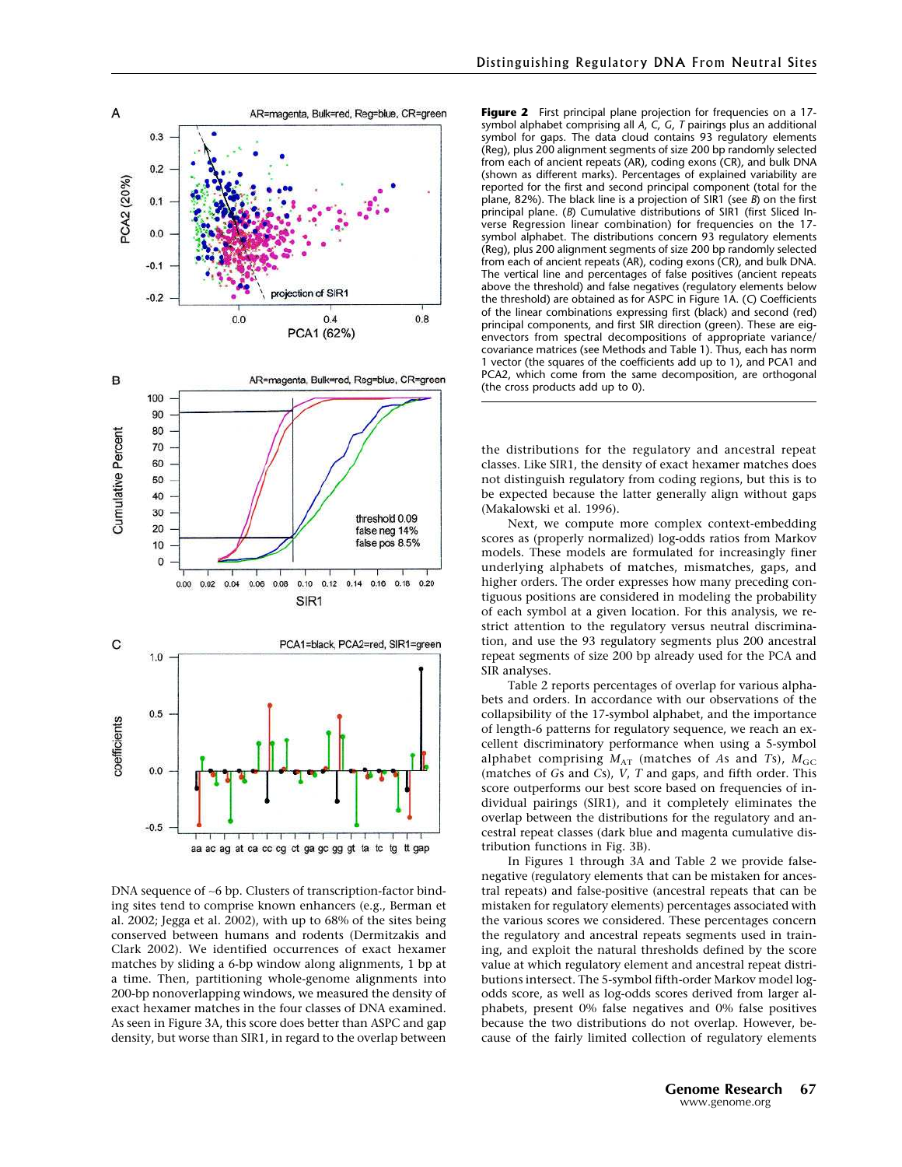

DNA sequence of ~6 bp. Clusters of transcription-factor binding sites tend to comprise known enhancers (e.g., Berman et al. 2002; Jegga et al. 2002), with up to 68% of the sites being conserved between humans and rodents (Dermitzakis and Clark 2002). We identified occurrences of exact hexamer matches by sliding a 6-bp window along alignments, 1 bp at a time. Then, partitioning whole-genome alignments into 200-bp nonoverlapping windows, we measured the density of exact hexamer matches in the four classes of DNA examined. As seen in Figure 3A, this score does better than ASPC and gap density, but worse than SIR1, in regard to the overlap between

Figure 2 First principal plane projection for frequencies on a 17symbol alphabet comprising all A, C, G, T pairings plus an additional symbol for gaps. The data cloud contains 93 regulatory elements (Reg), plus 200 alignment segments of size 200 bp randomly selected from each of ancient repeats (AR), coding exons (CR), and bulk DNA (shown as different marks). Percentages of explained variability are reported for the first and second principal component (total for the plane, 82%). The black line is a projection of SIR1 (see B) on the first principal plane. (B) Cumulative distributions of SIR1 (first Sliced Inverse Regression linear combination) for frequencies on the 17 symbol alphabet. The distributions concern 93 regulatory elements (Reg), plus 200 alignment segments of size 200 bp randomly selected from each of ancient repeats (AR), coding exons (CR), and bulk DNA. The vertical line and percentages of false positives (ancient repeats above the threshold) and false negatives (regulatory elements below the threshold) are obtained as for ASPC in Figure 1A. (C) Coefficients of the linear combinations expressing first (black) and second (red) principal components, and first SIR direction (green). These are eigenvectors from spectral decompositions of appropriate variance/ covariance matrices (see Methods and Table 1). Thus, each has norm 1 vector (the squares of the coefficients add up to 1), and PCA1 and PCA2, which come from the same decomposition, are orthogonal (the cross products add up to 0).

the distributions for the regulatory and ancestral repeat classes. Like SIR1, the density of exact hexamer matches does not distinguish regulatory from coding regions, but this is to be expected because the latter generally align without gaps (Makalowski et al. 1996).

Next, we compute more complex context-embedding scores as (properly normalized) log-odds ratios from Markov models. These models are formulated for increasingly finer underlying alphabets of matches, mismatches, gaps, and higher orders. The order expresses how many preceding contiguous positions are considered in modeling the probability of each symbol at a given location. For this analysis, we restrict attention to the regulatory versus neutral discrimination, and use the 93 regulatory segments plus 200 ancestral repeat segments of size 200 bp already used for the PCA and SIR analyses.

Table 2 reports percentages of overlap for various alphabets and orders. In accordance with our observations of the collapsibility of the 17-symbol alphabet, and the importance of length-6 patterns for regulatory sequence, we reach an excellent discriminatory performance when using a 5-symbol alphabet comprising  $M_{AT}$  (matches of As and Ts),  $M_{GC}$ (matches of Gs and Cs), V, T and gaps, and fifth order. This score outperforms our best score based on frequencies of individual pairings (SIR1), and it completely eliminates the overlap between the distributions for the regulatory and ancestral repeat classes (dark blue and magenta cumulative distribution functions in Fig. 3B).

In Figures 1 through 3A and Table 2 we provide falsenegative (regulatory elements that can be mistaken for ancestral repeats) and false-positive (ancestral repeats that can be mistaken for regulatory elements) percentages associated with the various scores we considered. These percentages concern the regulatory and ancestral repeats segments used in training, and exploit the natural thresholds defined by the score value at which regulatory element and ancestral repeat distributions intersect. The 5-symbol fifth-order Markov model logodds score, as well as log-odds scores derived from larger alphabets, present 0% false negatives and 0% false positives because the two distributions do not overlap. However, because of the fairly limited collection of regulatory elements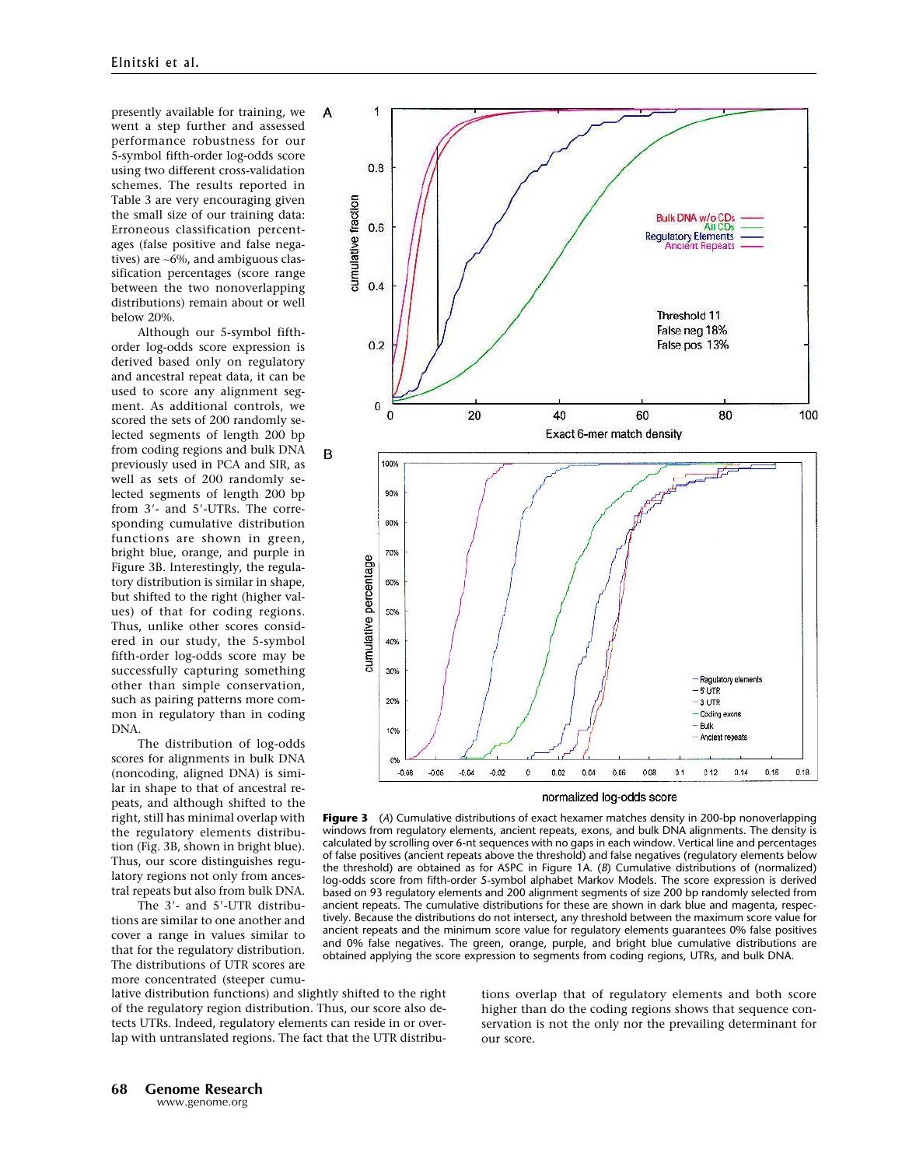presently available for training, we went a step further and assessed performance robustness for our 5-symbol fifth-order log-odds score using two different cross-validation schemes. The results reported in Table 3 are very encouraging given the small size of our training data: Erroneous classification percentages (false positive and false negatives) are ∼6%, and ambiguous classification percentages (score range between the two nonoverlapping distributions) remain about or well below 20%.

Although our 5-symbol fifthorder log-odds score expression is derived based only on regulatory and ancestral repeat data, it can be used to score any alignment segment. As additional controls, we scored the sets of 200 randomly selected segments of length 200 bp from coding regions and bulk DNA previously used in PCA and SIR, as well as sets of 200 randomly selected segments of length 200 bp from 3'- and 5'-UTRs. The corresponding cumulative distribution functions are shown in green, bright blue, orange, and purple in Figure 3B. Interestingly, the regulatory distribution is similar in shape, but shifted to the right (higher values) of that for coding regions. Thus, unlike other scores considered in our study, the 5-symbol fifth-order log-odds score may be successfully capturing something other than simple conservation, such as pairing patterns more common in regulatory than in coding DNA.

The distribution of log-odds scores for alignments in bulk DNA (noncoding, aligned DNA) is similar in shape to that of ancestral repeats, and although shifted to the right, still has minimal overlap with the regulatory elements distribution (Fig. 3B, shown in bright blue). Thus, our score distinguishes regulatory regions not only from ancestral repeats but also from bulk DNA.

The 3'- and 5'-UTR distributions are similar to one another and cover a range in values similar to that for the regulatory distribution. The distributions of UTR scores are more concentrated (steeper cumu-





normalized log-odds score

**Figure 3** (A) Cumulative distributions of exact hexamer matches density in 200-bp nonoverlapping windows from regulatory elements, ancient repeats, exons, and bulk DNA alignments. The density is calculated by scrolling over 6-nt sequences with no gaps in each window. Vertical line and percentages of false positives (ancient repeats above the threshold) and false negatives (regulatory elements below the threshold) are obtained as for ASPC in Figure 1A. (B) Cumulative distributions of (normalized) log-odds score from fifth-order 5-symbol alphabet Markov Models. The score expression is derived based on 93 regulatory elements and 200 alignment segments of size 200 bp randomly selected from ancient repeats. The cumulative distributions for these are shown in dark blue and magenta, respectively. Because the distributions do not intersect, any threshold between the maximum score value for ancient repeats and the minimum score value for regulatory elements guarantees 0% false positives and 0% false negatives. The green, orange, purple, and bright blue cumulative distributions are obtained applying the score expression to segments from coding regions, UTRs, and bulk DNA.

tions overlap that of regulatory elements and both score higher than do the coding regions shows that sequence conservation is not the only nor the prevailing determinant for our score.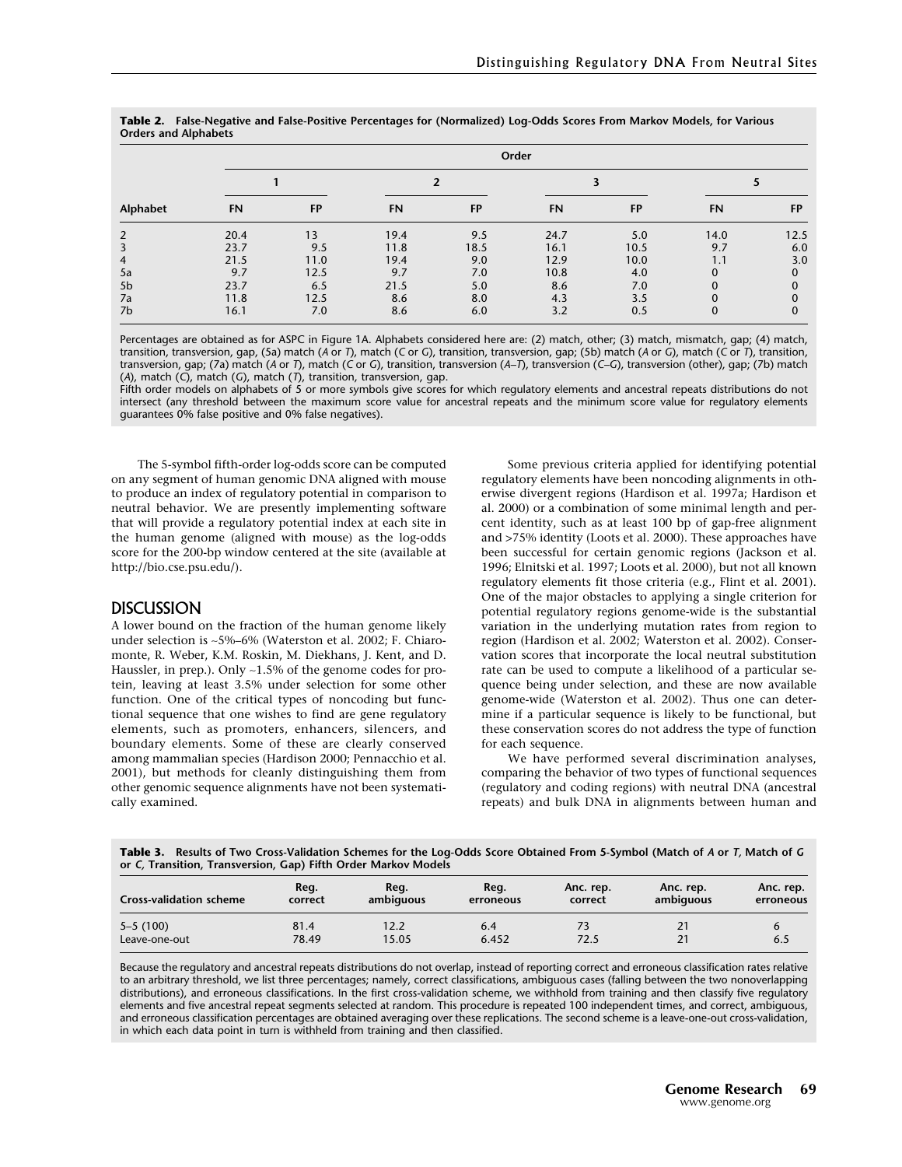| Alphabet       | Order |           |                         |           |      |      |      |           |  |
|----------------|-------|-----------|-------------------------|-----------|------|------|------|-----------|--|
|                |       |           | $\overline{\mathbf{z}}$ |           |      |      |      |           |  |
|                | FN    | <b>FP</b> | FN                      | <b>FP</b> | FN   | FP   | FN   | <b>FP</b> |  |
| $\overline{2}$ | 20.4  | 13        | 19.4                    | 9.5       | 24.7 | 5.0  | 14.0 | 12.5      |  |
|                | 23.7  | 9.5       | 11.8                    | 18.5      | 16.1 | 10.5 | 9.7  | 6.0       |  |
| 4              | 21.5  | 11.0      | 19.4                    | 9.0       | 12.9 | 10.0 | 1.1  | 3.0       |  |
| 5a             | 9.7   | 12.5      | 9.7                     | 7.0       | 10.8 | 4.0  |      | 0         |  |
| 5 <sub>b</sub> | 23.7  | 6.5       | 21.5                    | 5.0       | 8.6  | 7.0  |      |           |  |
| 7a             | 11.8  | 12.5      | 8.6                     | 8.0       | 4.3  | 3.5  |      |           |  |
| 7b             | 16.1  | 7.0       | 8.6                     | 6.0       | 3.2  | 0.5  |      | 0         |  |

Table 2. False-Negative and False-Positive Percentages for (Normalized) Log-Odds Scores From Markov Models, for Various Orders and Alphabets

Percentages are obtained as for ASPC in Figure 1A. Alphabets considered here are: (2) match, other; (3) match, mismatch, gap; (4) match, transition, transversion, gap, (5a) match (A or T), match (C or G), transition, transversion, gap; (5b) match (A or G), match (C or T), transition, transversion, gap; (7a) match (A or T), match (C or G), transition, transversion (A–T), transversion (C–G), transversion (other), gap; (7b) match (A), match  $(C)$ , match  $(C)$ , match  $(T)$ , transition, transversion, gap.

Fifth order models on alphabets of 5 or more symbols give scores for which regulatory elements and ancestral repeats distributions do not intersect (any threshold between the maximum score value for ancestral repeats and the minimum score value for regulatory elements guarantees 0% false positive and 0% false negatives).

The 5-symbol fifth-order log-odds score can be computed on any segment of human genomic DNAaligned with mouse to produce an index of regulatory potential in comparison to neutral behavior. We are presently implementing software that will provide a regulatory potential index at each site in the human genome (aligned with mouse) as the log-odds score for the 200-bp window centered at the site (available at http://bio.cse.psu.edu/).

## **DISCUSSION**

Alower bound on the fraction of the human genome likely under selection is ∼5%–6% (Waterston et al. 2002; F. Chiaromonte, R. Weber, K.M. Roskin, M. Diekhans, J. Kent, and D. Haussler, in prep.). Only ∼1.5% of the genome codes for protein, leaving at least 3.5% under selection for some other function. One of the critical types of noncoding but functional sequence that one wishes to find are gene regulatory elements, such as promoters, enhancers, silencers, and boundary elements. Some of these are clearly conserved among mammalian species (Hardison 2000; Pennacchio et al. 2001), but methods for cleanly distinguishing them from other genomic sequence alignments have not been systematically examined.

Some previous criteria applied for identifying potential regulatory elements have been noncoding alignments in otherwise divergent regions (Hardison et al. 1997a; Hardison et al. 2000) or a combination of some minimal length and percent identity, such as at least 100 bp of gap-free alignment and >75% identity (Loots et al. 2000). These approaches have been successful for certain genomic regions (Jackson et al. 1996; Elnitski et al. 1997; Loots et al. 2000), but not all known regulatory elements fit those criteria (e.g., Flint et al. 2001). One of the major obstacles to applying a single criterion for potential regulatory regions genome-wide is the substantial variation in the underlying mutation rates from region to region (Hardison et al. 2002; Waterston et al. 2002). Conservation scores that incorporate the local neutral substitution rate can be used to compute a likelihood of a particular sequence being under selection, and these are now available genome-wide (Waterston et al. 2002). Thus one can determine if a particular sequence is likely to be functional, but these conservation scores do not address the type of function for each sequence.

We have performed several discrimination analyses, comparing the behavior of two types of functional sequences (regulatory and coding regions) with neutral DNA(ancestral repeats) and bulk DNA in alignments between human and

Table 3. Results of Two Cross-Validation Schemes for the Log-Odds Score Obtained From 5-Symbol (Match of A or T, Match of G or C, Transition, Transversion, Gap) Fifth Order Markov Models

| <b>Cross-validation scheme</b> | Reg.          | Reg.          | Reg.         | Anc. rep.  | Anc. rep. | Anc. rep. |
|--------------------------------|---------------|---------------|--------------|------------|-----------|-----------|
|                                | correct       | ambiguous     | erroneous    | correct    | ambiguous | erroneous |
| $5 - 5(100)$<br>Leave-one-out  | 81.4<br>78.49 | 12.2<br>15.05 | 6.4<br>6.452 | 73<br>72.5 |           | 6.5       |

Because the regulatory and ancestral repeats distributions do not overlap, instead of reporting correct and erroneous classification rates relative to an arbitrary threshold, we list three percentages; namely, correct classifications, ambiguous cases (falling between the two nonoverlapping distributions), and erroneous classifications. In the first cross-validation scheme, we withhold from training and then classify five regulatory elements and five ancestral repeat segments selected at random. This procedure is repeated 100 independent times, and correct, ambiguous, and erroneous classification percentages are obtained averaging over these replications. The second scheme is a leave-one-out cross-validation, in which each data point in turn is withheld from training and then classified.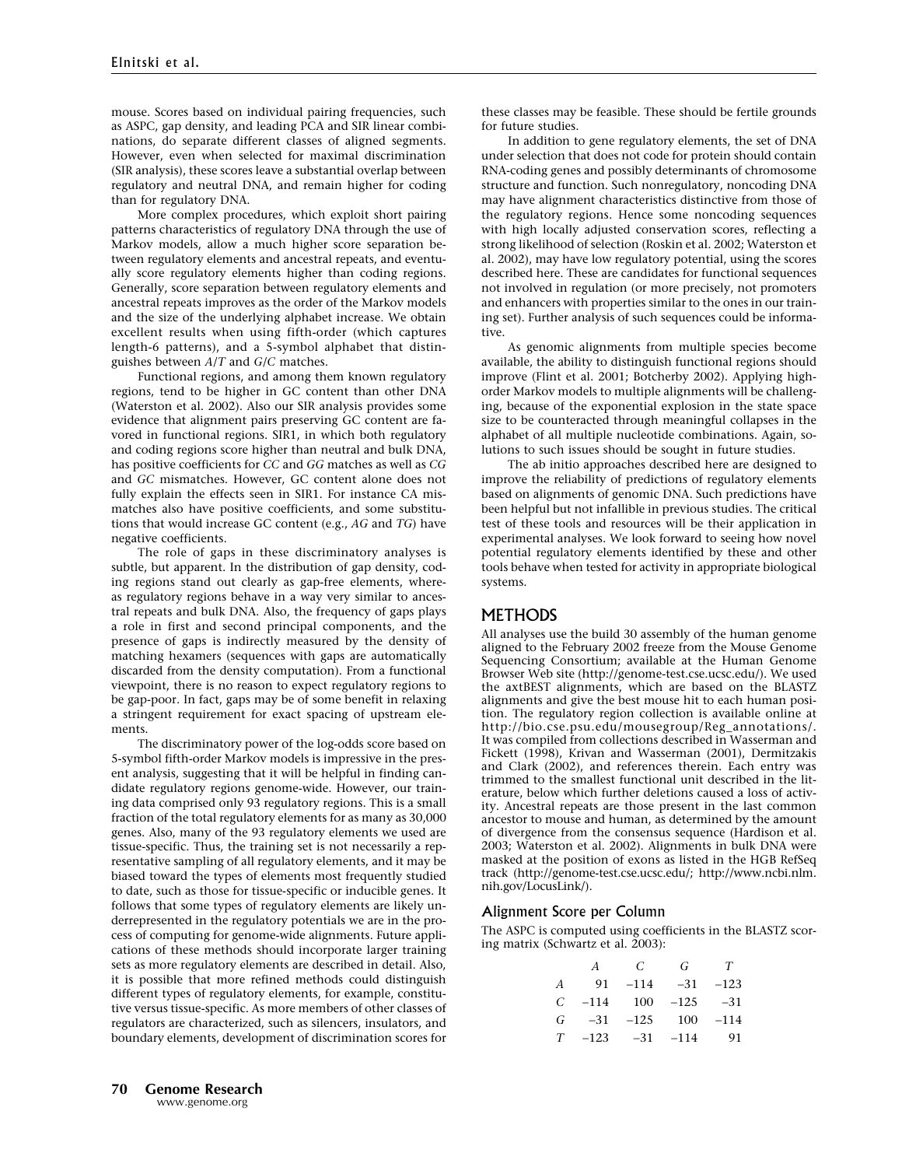mouse. Scores based on individual pairing frequencies, such as ASPC, gap density, and leading PCA and SIR linear combinations, do separate different classes of aligned segments. However, even when selected for maximal discrimination (SIR analysis), these scores leave a substantial overlap between regulatory and neutral DNA, and remain higher for coding than for regulatory DNA.

More complex procedures, which exploit short pairing patterns characteristics of regulatory DNA through the use of Markov models, allow a much higher score separation between regulatory elements and ancestral repeats, and eventually score regulatory elements higher than coding regions. Generally, score separation between regulatory elements and ancestral repeats improves as the order of the Markov models and the size of the underlying alphabet increase. We obtain excellent results when using fifth-order (which captures length-6 patterns), and a 5-symbol alphabet that distinguishes between A/T and G/C matches.

Functional regions, and among them known regulatory regions, tend to be higher in GC content than other DNA (Waterston et al. 2002). Also our SIR analysis provides some evidence that alignment pairs preserving GC content are favored in functional regions. SIR1, in which both regulatory and coding regions score higher than neutral and bulk DNA, has positive coefficients for CC and GG matches as well as CG and GC mismatches. However, GC content alone does not fully explain the effects seen in SIR1. For instance CA mismatches also have positive coefficients, and some substitutions that would increase GC content (e.g., AG and TG) have negative coefficients.

The role of gaps in these discriminatory analyses is subtle, but apparent. In the distribution of gap density, coding regions stand out clearly as gap-free elements, whereas regulatory regions behave in a way very similar to ancestral repeats and bulk DNA. Also, the frequency of gaps plays a role in first and second principal components, and the presence of gaps is indirectly measured by the density of matching hexamers (sequences with gaps are automatically discarded from the density computation). From a functional viewpoint, there is no reason to expect regulatory regions to be gap-poor. In fact, gaps may be of some benefit in relaxing a stringent requirement for exact spacing of upstream elements.

The discriminatory power of the log-odds score based on 5-symbol fifth-order Markov models is impressive in the present analysis, suggesting that it will be helpful in finding candidate regulatory regions genome-wide. However, our training data comprised only 93 regulatory regions. This is a small fraction of the total regulatory elements for as many as 30,000 genes. Also, many of the 93 regulatory elements we used are tissue-specific. Thus, the training set is not necessarily a representative sampling of all regulatory elements, and it may be biased toward the types of elements most frequently studied to date, such as those for tissue-specific or inducible genes. It follows that some types of regulatory elements are likely underrepresented in the regulatory potentials we are in the process of computing for genome-wide alignments. Future applications of these methods should incorporate larger training sets as more regulatory elements are described in detail. Also, it is possible that more refined methods could distinguish different types of regulatory elements, for example, constitutive versus tissue-specific. As more members of other classes of regulators are characterized, such as silencers, insulators, and boundary elements, development of discrimination scores for these classes may be feasible. These should be fertile grounds for future studies.

In addition to gene regulatory elements, the set of DNA under selection that does not code for protein should contain RNA-coding genes and possibly determinants of chromosome structure and function. Such nonregulatory, noncoding DNA may have alignment characteristics distinctive from those of the regulatory regions. Hence some noncoding sequences with high locally adjusted conservation scores, reflecting a strong likelihood of selection (Roskin et al. 2002; Waterston et al. 2002), may have low regulatory potential, using the scores described here. These are candidates for functional sequences not involved in regulation (or more precisely, not promoters and enhancers with properties similar to the ones in our training set). Further analysis of such sequences could be informative.

As genomic alignments from multiple species become available, the ability to distinguish functional regions should improve (Flint et al. 2001; Botcherby 2002). Applying highorder Markov models to multiple alignments will be challenging, because of the exponential explosion in the state space size to be counteracted through meaningful collapses in the alphabet of all multiple nucleotide combinations. Again, solutions to such issues should be sought in future studies.

The ab initio approaches described here are designed to improve the reliability of predictions of regulatory elements based on alignments of genomic DNA. Such predictions have been helpful but not infallible in previous studies. The critical test of these tools and resources will be their application in experimental analyses. We look forward to seeing how novel potential regulatory elements identified by these and other tools behave when tested for activity in appropriate biological systems.

# **METHODS**

All analyses use the build 30 assembly of the human genome aligned to the February 2002 freeze from the Mouse Genome Sequencing Consortium; available at the Human Genome Browser Web site (http://genome-test.cse.ucsc.edu/). We used the axtBEST alignments, which are based on the BLASTZ alignments and give the best mouse hit to each human position. The regulatory region collection is available online at http://bio.cse.psu.edu/mousegroup/Reg\_annotations/. It was compiled from collections described in Wasserman and Fickett (1998), Krivan and Wasserman (2001), Dermitzakis and Clark (2002), and references therein. Each entry was trimmed to the smallest functional unit described in the literature, below which further deletions caused a loss of activity. Ancestral repeats are those present in the last common ancestor to mouse and human, as determined by the amount of divergence from the consensus sequence (Hardison et al. 2003; Waterston et al. 2002). Alignments in bulk DNA were masked at the position of exons as listed in the HGB RefSeq track (http://genome-test.cse.ucsc.edu/; http://www.ncbi.nlm. nih.gov/LocusLink/).

### Alignment Score per Column

The ASPC is computed using coefficients in the BLASTZ scoring matrix (Schwartz et al. 2003):

|               | А      | C      | G.     | T      |
|---------------|--------|--------|--------|--------|
| A             | 91     | $-114$ | $-31$  | $-123$ |
| $\mathcal{C}$ | $-114$ | - 100  | $-125$ | $-31$  |
| G             | $-31$  | $-125$ | 100    | $-114$ |
| T             | $-123$ | $-31$  | $-114$ | 91     |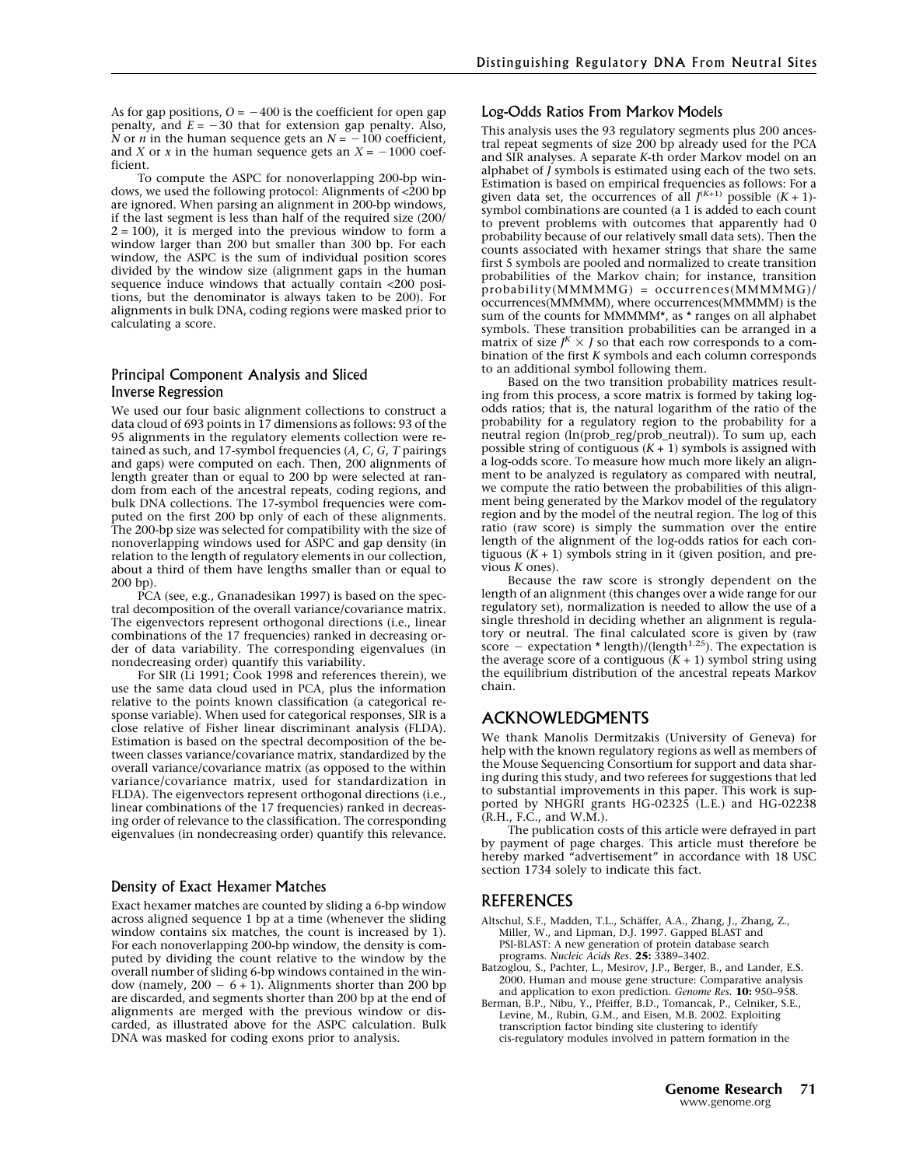As for gap positions,  $O = -400$  is the coefficient for open gap penalty, and  $E = -30$  that for extension gap penalty. Also, N or *n* in the human sequence gets an  $N = -100$  coefficient, and X or x in the human sequence gets an  $X = -1000$  coefficient.

To compute the ASPC for nonoverlapping 200-bp windows, we used the following protocol: Alignments of  $\langle 200 \text{ bp} \rangle$ are ignored. When parsing an alignment in 200-bp windows, if the last segment is less than half of the required size (200/  $2 = 100$ ), it is merged into the previous window to form a window larger than 200 but smaller than 300 bp. For each window, the ASPC is the sum of individual position scores divided by the window size (alignment gaps in the human sequence induce windows that actually contain <200 positions, but the denominator is always taken to be 200). For alignments in bulk DNA, coding regions were masked prior to calculating a score.

## Principal Component Analysis and Sliced Inverse Regression

We used our four basic alignment collections to construct a data cloud of 693 points in 17 dimensions as follows: 93 of the 95 alignments in the regulatory elements collection were retained as such, and 17-symbol frequencies  $(A, C, G, T)$  pairings and gaps) were computed on each. Then, 200 alignments of length greater than or equal to 200 bp were selected at random from each of the ancestral repeats, coding regions, and bulk DNA collections. The 17-symbol frequencies were computed on the first 200 bp only of each of these alignments. The 200-bp size was selected for compatibility with the size of nonoverlapping windows used for ASPC and gap density (in relation to the length of regulatory elements in our collection, about a third of them have lengths smaller than or equal to 200 bp).

PCA (see, e.g., Gnanadesikan 1997) is based on the spectral decomposition of the overall variance/covariance matrix. The eigenvectors represent orthogonal directions (i.e., linear combinations of the 17 frequencies) ranked in decreasing order of data variability. The corresponding eigenvalues (in nondecreasing order) quantify this variability.

For SIR (Li 1991; Cook 1998 and references therein), we use the same data cloud used in PCA, plus the information relative to the points known classification (a categorical response variable). When used for categorical responses, SIR is a close relative of Fisher linear discriminant analysis (FLDA). Estimation is based on the spectral decomposition of the between classes variance/covariance matrix, standardized by the overall variance/covariance matrix (as opposed to the within variance/covariance matrix, used for standardization in FLDA). The eigenvectors represent orthogonal directions (i.e., linear combinations of the 17 frequencies) ranked in decreasing order of relevance to the classification. The corresponding eigenvalues (in nondecreasing order) quantify this relevance.

#### Density of Exact Hexamer Matches

Exact hexamer matches are counted by sliding a 6-bp window across aligned sequence 1 bp at a time (whenever the sliding window contains six matches, the count is increased by 1). For each nonoverlapping 200-bp window, the density is computed by dividing the count relative to the window by the overall number of sliding 6-bp windows contained in the window (namely,  $200 - 6 + 1$ ). Alignments shorter than 200 bp are discarded, and segments shorter than 200 bp at the end of alignments are merged with the previous window or discarded, as illustrated above for the ASPC calculation. Bulk DNAwas masked for coding exons prior to analysis.

#### Log-Odds Ratios From Markov Models

This analysis uses the 93 regulatory segments plus 200 ancestral repeat segments of size 200 bp already used for the PCA and SIR analyses. A separate K-th order Markov model on an alphabet of  $\tilde{J}$  symbols is estimated using each of the two sets. Estimation is based on empirical frequencies as follows: For a given data set, the occurrences of all  $J^{(K+1)}$  possible  $(K + 1)$ symbol combinations are counted (a 1 is added to each count to prevent problems with outcomes that apparently had 0 probability because of our relatively small data sets). Then the counts associated with hexamer strings that share the same first 5 symbols are pooled and normalized to create transition probabilities of the Markov chain; for instance, transition probability(MMMMMG) = occurrences(MMMMMG)/ occurrences(MMMMM), where occurrences(MMMMM) is the sum of the counts for MMMMM\*, as \* ranges on all alphabet symbols. These transition probabilities can be arranged in a matrix of size  $J^K \times J$  so that each row corresponds to a combination of the first K symbols and each column corresponds to an additional symbol following them.

Based on the two transition probability matrices resulting from this process, a score matrix is formed by taking logodds ratios; that is, the natural logarithm of the ratio of the probability for a regulatory region to the probability for a neutral region (ln(prob\_reg/prob\_neutral)). To sum up, each possible string of contiguous  $(K + 1)$  symbols is assigned with a log-odds score. To measure how much more likely an alignment to be analyzed is regulatory as compared with neutral, we compute the ratio between the probabilities of this alignment being generated by the Markov model of the regulatory region and by the model of the neutral region. The log of this ratio (raw score) is simply the summation over the entire length of the alignment of the log-odds ratios for each contiguous  $(K + 1)$  symbols string in it (given position, and previous K ones).

Because the raw score is strongly dependent on the length of an alignment (this changes over a wide range for our regulatory set), normalization is needed to allow the use of a single threshold in deciding whether an alignment is regulatory or neutral. The final calculated score is given by (raw score - expectation \* length)/(length<sup>1.25</sup>). The expectation is the average score of a contiguous  $(K + 1)$  symbol string using the equilibrium distribution of the ancestral repeats Markov chain.

# ACKNOWLEDGMENTS

We thank Manolis Dermitzakis (University of Geneva) for help with the known regulatory regions as well as members of the Mouse Sequencing Consortium for support and data sharing during this study, and two referees for suggestions that led to substantial improvements in this paper. This work is supported by NHGRI grants HG-02325 (L.E.) and HG-02238  $(R.H., F.C., and W.M.).$ 

The publication costs of this article were defrayed in part by payment of page charges. This article must therefore be hereby marked "advertisement" in accordance with 18 USC section 1734 solely to indicate this fact.

### REFERENCES

- Altschul, S.F., Madden, T.L., Schäffer, A.A., Zhang, J., Zhang, Z.,<br>Miller, W., and Lipman, D.J. 1997. Gapped BLAST and PSI-BLAST: A new generation of protein database search programs. Nucleic Acids Res. 25: 3389-3402.
- Batzoglou, S., Pachter, L., Mesirov, J.P., Berger, B., and Lander, E.S. 2000. Human and mouse gene structure: Comparative analysis and application to exon prediction. Genome Res. 10: 950–958.
- Berman, B.P., Nibu, Y., Pfeiffer, B.D., Tomancak, P., Celniker, S.E., Levine, M., Rubin, G.M., and Eisen, M.B. 2002. Exploiting transcription factor binding site clustering to identify cis-regulatory modules involved in pattern formation in the